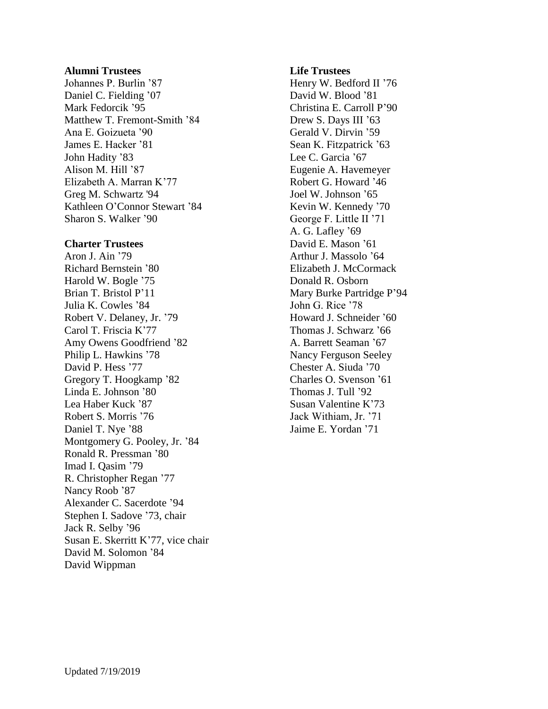## **Alumni Trustees**

Johannes P. Burlin '87 Daniel C. Fielding '07 Mark Fedorcik '95 Matthew T. Fremont-Smith '84 Ana E. Goizueta '90 James E. Hacker '81 John Hadity '83 Alison M. Hill '87 Elizabeth A. Marran K'77 Greg M. Schwartz '94 Kathleen O'Connor Stewart '84 Sharon S. Walker '90

## **Charter Trustees**

Aron J. Ain '79 Richard Bernstein '80 Harold W. Bogle '75 Brian T. Bristol P'11 Julia K. Cowles '84 Robert V. Delaney, Jr. '79 Carol T. Friscia K'77 Amy Owens Goodfriend '82 Philip L. Hawkins '78 David P. Hess '77 Gregory T. Hoogkamp '82 Linda E. Johnson '80 Lea Haber Kuck '87 Robert S. Morris '76 Daniel T. Nye '88 Montgomery G. Pooley, Jr. '84 Ronald R. Pressman '80 Imad I. Qasim '79 R. Christopher Regan '77 Nancy Roob '87 Alexander C. Sacerdote '94 Stephen I. Sadove '73, chair Jack R. Selby '96 Susan E. Skerritt K'77, vice chair David M. Solomon '84 David Wippman

## **Life Trustees**

Henry W. Bedford II '76 David W. Blood '81 Christina E. Carroll P'90 Drew S. Days III '63 Gerald V. Dirvin '59 Sean K. Fitzpatrick '63 Lee C. Garcia '67 Eugenie A. Havemeyer Robert G. Howard '46 Joel W. Johnson '65 Kevin W. Kennedy '70 George F. Little II '71 A. G. Lafley '69 David E. Mason '61 Arthur J. Massolo '64 Elizabeth J. McCormack Donald R. Osborn Mary Burke Partridge P'94 John G. Rice '78 Howard J. Schneider '60 Thomas J. Schwarz '66 A. Barrett Seaman '67 Nancy Ferguson Seeley Chester A. Siuda '70 Charles O. Svenson '61 Thomas J. Tull '92 Susan Valentine K'73 Jack Withiam, Jr. '71 Jaime E. Yordan '71